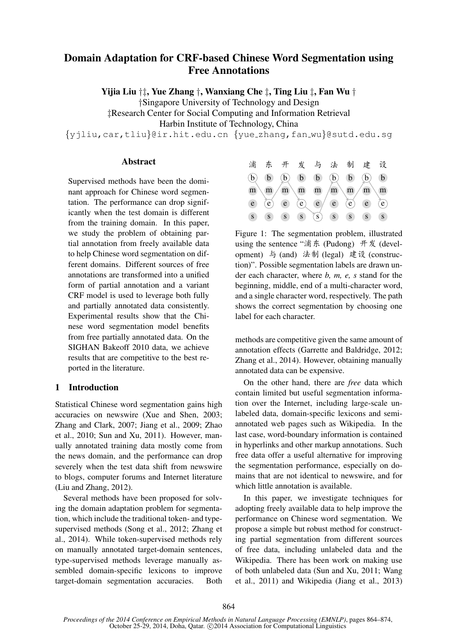# Domain Adaptation for CRF-based Chinese Word Segmentation using Free Annotations

Yijia Liu †‡, Yue Zhang †, Wanxiang Che ‡, Ting Liu ‡, Fan Wu †

†Singapore University of Technology and Design

‡Research Center for Social Computing and Information Retrieval

Harbin Institute of Technology, China

{yjliu,car,tliu}@ir.hit.edu.cn {yue zhang,fan wu}@sutd.edu.sg

## **Abstract**

Supervised methods have been the dominant approach for Chinese word segmentation. The performance can drop significantly when the test domain is different from the training domain. In this paper, we study the problem of obtaining partial annotation from freely available data to help Chinese word segmentation on different domains. Different sources of free annotations are transformed into a unified form of partial annotation and a variant CRF model is used to leverage both fully and partially annotated data consistently. Experimental results show that the Chinese word segmentation model benefits from free partially annotated data. On the SIGHAN Bakeoff 2010 data, we achieve results that are competitive to the best reported in the literature.

## 1 Introduction

Statistical Chinese word segmentation gains high accuracies on newswire (Xue and Shen, 2003; Zhang and Clark, 2007; Jiang et al., 2009; Zhao et al., 2010; Sun and Xu, 2011). However, manually annotated training data mostly come from the news domain, and the performance can drop severely when the test data shift from newswire to blogs, computer forums and Internet literature (Liu and Zhang, 2012).

Several methods have been proposed for solving the domain adaptation problem for segmentation, which include the traditional token- and typesupervised methods (Song et al., 2012; Zhang et al., 2014). While token-supervised methods rely on manually annotated target-domain sentences, type-supervised methods leverage manually assembled domain-specific lexicons to improve target-domain segmentation accuracies. Both



Figure 1: The segmentation problem, illustrated using the sentence "浦东 (Pudong) 开发 (development) 与 (and) 法制 (legal) 建设 (construction)". Possible segmentation labels are drawn under each character, where *b, m, e, s* stand for the beginning, middle, end of a multi-character word, and a single character word, respectively. The path shows the correct segmentation by choosing one label for each character.

methods are competitive given the same amount of annotation effects (Garrette and Baldridge, 2012; Zhang et al., 2014). However, obtaining manually annotated data can be expensive.

On the other hand, there are *free* data which contain limited but useful segmentation information over the Internet, including large-scale unlabeled data, domain-specific lexicons and semiannotated web pages such as Wikipedia. In the last case, word-boundary information is contained in hyperlinks and other markup annotations. Such free data offer a useful alternative for improving the segmentation performance, especially on domains that are not identical to newswire, and for which little annotation is available.

In this paper, we investigate techniques for adopting freely available data to help improve the performance on Chinese word segmentation. We propose a simple but robust method for constructing partial segmentation from different sources of free data, including unlabeled data and the Wikipedia. There has been work on making use of both unlabeled data (Sun and Xu, 2011; Wang et al., 2011) and Wikipedia (Jiang et al., 2013)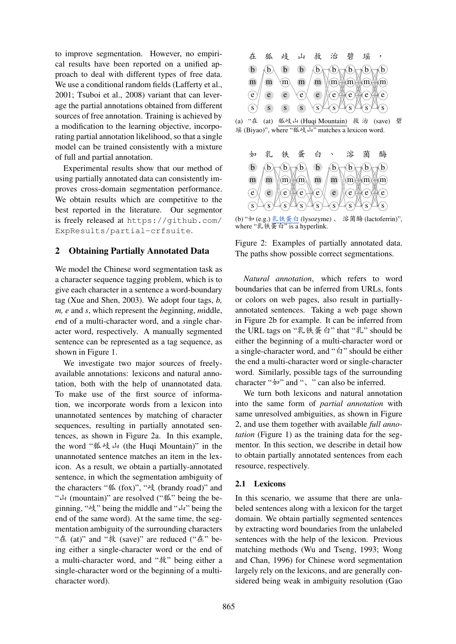to improve segmentation. However, no empirical results have been reported on a unified approach to deal with different types of free data. We use a conditional random fields (Lafferty et al., 2001; Tsuboi et al., 2008) variant that can leverage the partial annotations obtained from different sources of free annotation. Training is achieved by a modification to the learning objective, incorporating partial annotation likelihood, so that a single model can be trained consistently with a mixture of full and partial annotation.

Experimental results show that our method of using partially annotated data can consistently improves cross-domain segmentation performance. We obtain results which are competitive to the best reported in the literature. Our segmentor is freely released at https://github.com/ ExpResults/partial-crfsuite.

#### 2 Obtaining Partially Annotated Data

We model the Chinese word segmentation task as a character sequence tagging problem, which is to give each character in a sentence a word-boundary tag (Xue and Shen, 2003). We adopt four tags, *b, m, e* and *s*, which represent the *b*eginning, *m*iddle, *e*nd of a multi-character word, and a *s*ingle character word, respectively. A manually segmented sentence can be represented as a tag sequence, as shown in Figure 1.

We investigate two major sources of freelyavailable annotations: lexicons and natural annotation, both with the help of unannotated data. To make use of the first source of information, we incorporate words from a lexicon into unannotated sentences by matching of character sequences, resulting in partially annotated sentences, as shown in Figure 2a. In this example, the word "狐岐山 (the Huqi Mountain)" in the unannotated sentence matches an item in the lexicon. As a result, we obtain a partially-annotated sentence, in which the segmentation ambiguity of the characters "狐 (fox)", "岐 (brandy road)" and "山 (mountain)" are resolved ("狐" being the beginning, "岐" being the middle and "山" being the end of the same word). At the same time, the segmentation ambiguity of the surrounding characters "在 (at)" and "救 (save)" are reduced ("在" being either a single-character word or the end of a multi-character word, and "救" being either a single-character word or the beginning of a multicharacter word).







(b) "如 (e.g.) 乳铁蛋白 (lysozyme) 、 溶菌酶 (lactoferrin)", where "乳铁蛋白" is a hyperlink.



*Natural annotation*, which refers to word boundaries that can be inferred from URLs, fonts or colors on web pages, also result in partiallyannotated sentences. Taking a web page shown in Figure 2b for example. It can be inferred from the URL tags on "乳铁蛋白" that "乳" should be either the beginning of a multi-character word or a single-character word, and "白" should be either the end a multi-character word or single-character word. Similarly, possible tags of the surrounding character "如" and "、" can also be inferred.

We turn both lexicons and natural annotation into the same form of *partial annotation* with same unresolved ambiguities, as shown in Figure 2, and use them together with available *full annotation* (Figure 1) as the training data for the segmentor. In this section, we describe in detail how to obtain partially annotated sentences from each resource, respectively.

#### 2.1 Lexicons

In this scenario, we assume that there are unlabeled sentences along with a lexicon for the target domain. We obtain partially segmented sentences by extracting word boundaries from the unlabeled sentences with the help of the lexicon. Previous matching methods (Wu and Tseng, 1993; Wong and Chan, 1996) for Chinese word segmentation largely rely on the lexicons, and are generally considered being weak in ambiguity resolution (Gao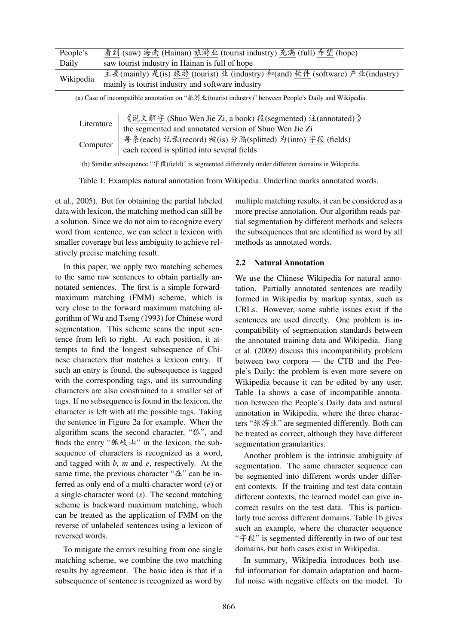| saw tourist industry in Hainan is full of hope<br>Daily                                   |  |
|-------------------------------------------------------------------------------------------|--|
|                                                                                           |  |
| 主要(mainly) 是(is) 旅游 (tourist) 业 (industry) 和(and) 软件 (software) 产业(industry)<br>Wikipedia |  |
| mainly is tourist industry and software industry                                          |  |

(a) Case of incompatible annotation on "旅游业(tourist industry)" between People's Daily and Wikipedia.

| Literature | 《说文解字 (Shuo Wen Jie Zi, a book) 段(segmented) 注(annotated) 》<br>the segmented and annotated version of Shuo Wen Jie Zi |
|------------|-----------------------------------------------------------------------------------------------------------------------|
|            | 每条(each) 记录(record) 被(is) 分隔(splitted) 为(into) 字段 (fields)                                                            |
| Computer   | each record is splitted into several fields                                                                           |

(b) Similar subsequence "字段(field)" is segmented differently under different domains in Wikipedia.

Table 1: Examples natural annotation from Wikipedia. Underline marks annotated words.

et al., 2005). But for obtaining the partial labeled data with lexicon, the matching method can still be a solution. Since we do not aim to recognize every word from sentence, we can select a lexicon with smaller coverage but less ambiguity to achieve relatively precise matching result.

In this paper, we apply two matching schemes to the same raw sentences to obtain partially annotated sentences. The first is a simple forwardmaximum matching (FMM) scheme, which is very close to the forward maximum matching algorithm of Wu and Tseng (1993) for Chinese word segmentation. This scheme scans the input sentence from left to right. At each position, it attempts to find the longest subsequence of Chinese characters that matches a lexicon entry. If such an entry is found, the subsequence is tagged with the corresponding tags, and its surrounding characters are also constrained to a smaller set of tags. If no subsequence is found in the lexicon, the character is left with all the possible tags. Taking the sentence in Figure 2a for example. When the algorithm scans the second character, "狐", and finds the entry "狐岐山" in the lexicon, the subsequence of characters is recognized as a word, and tagged with *b, m* and *e*, respectively. At the same time, the previous character "在" can be inferred as only end of a multi-character word (*e*) or a single-character word (*s*). The second matching scheme is backward maximum matching, which can be treated as the application of FMM on the reverse of unlabeled sentences using a lexicon of reversed words.

To mitigate the errors resulting from one single matching scheme, we combine the two matching results by agreement. The basic idea is that if a subsequence of sentence is recognized as word by

multiple matching results, it can be considered as a more precise annotation. Our algorithm reads partial segmentation by different methods and selects the subsequences that are identified as word by all methods as annotated words.

#### 2.2 Natural Annotation

We use the Chinese Wikipedia for natural annotation. Partially annotated sentences are readily formed in Wikipedia by markup syntax, such as URLs. However, some subtle issues exist if the sentences are used directly. One problem is incompatibility of segmentation standards between the annotated training data and Wikipedia. Jiang et al. (2009) discuss this incompatibility problem between two corpora — the CTB and the People's Daily; the problem is even more severe on Wikipedia because it can be edited by any user. Table 1a shows a case of incompatible annotation between the People's Daily data and natural annotation in Wikipedia, where the three characters "旅游业" are segmented differently. Both can be treated as correct, although they have different segmentation granularities.

Another problem is the intrinsic ambiguity of segmentation. The same character sequence can be segmented into different words under different contexts. If the training and test data contain different contexts, the learned model can give incorrect results on the test data. This is particularly true across different domains. Table 1b gives such an example, where the character sequence "字段" is segmented differently in two of our test domains, but both cases exist in Wikipedia.

In summary, Wikipedia introduces both useful information for domain adaptation and harmful noise with negative effects on the model. To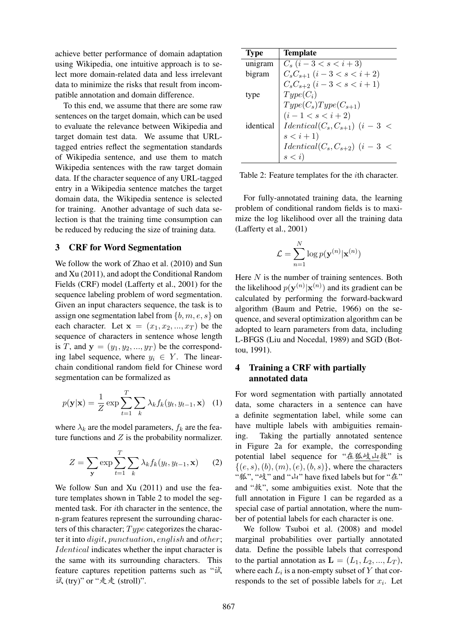achieve better performance of domain adaptation using Wikipedia, one intuitive approach is to select more domain-related data and less irrelevant data to minimize the risks that result from incompatible annotation and domain difference.

To this end, we assume that there are some raw sentences on the target domain, which can be used to evaluate the relevance between Wikipedia and target domain test data. We assume that URLtagged entries reflect the segmentation standards of Wikipedia sentence, and use them to match Wikipedia sentences with the raw target domain data. If the character sequence of any URL-tagged entry in a Wikipedia sentence matches the target domain data, the Wikipedia sentence is selected for training. Another advantage of such data selection is that the training time consumption can be reduced by reducing the size of training data.

## 3 CRF for Word Segmentation

We follow the work of Zhao et al. (2010) and Sun and Xu (2011), and adopt the Conditional Random Fields (CRF) model (Lafferty et al., 2001) for the sequence labeling problem of word segmentation. Given an input characters sequence, the task is to assign one segmentation label from  $\{b, m, e, s\}$  on each character. Let  $\mathbf{x} = (x_1, x_2, ..., x_T)$  be the sequence of characters in sentence whose length is T, and  $y = (y_1, y_2, ..., y_T)$  be the corresponding label sequence, where  $y_i \in Y$ . The linearchain conditional random field for Chinese word segmentation can be formalized as

$$
p(\mathbf{y}|\mathbf{x}) = \frac{1}{Z} \exp \sum_{t=1}^{T} \sum_{k} \lambda_k f_k(y_t, y_{t-1}, \mathbf{x}) \quad (1)
$$

where  $\lambda_k$  are the model parameters,  $f_k$  are the feature functions and  $Z$  is the probability normalizer.

$$
Z = \sum_{\mathbf{y}} \exp \sum_{t=1}^{T} \sum_{k} \lambda_k f_k(y_t, y_{t-1}, \mathbf{x}) \qquad (2)
$$

We follow Sun and Xu (2011) and use the feature templates shown in Table 2 to model the segmented task. For ith character in the sentence, the n-gram features represent the surrounding characters of this character;  $Type$  categorizes the character it into digit, punctuation, english and other; Identical indicates whether the input character is the same with its surrounding characters. This feature captures repetition patterns such as "试 试 (try)" or "走走 (stroll)".

| <b>Type</b> | <b>Template</b>                    |
|-------------|------------------------------------|
| unigram     | $C_s$ $(i-3 < s < i+3)$            |
| bigram      | $C_sC_{s+1}$ $(i-3 < s < i+2)$     |
|             | $C_sC_{s+2}$ $(i-3 < s < i+1)$     |
| type        | $Type(C_i)$                        |
|             | $Type(C_s)Type(C_{s+1})$           |
|             | $(i-1 < s < i+2)$                  |
| identical   | $Identical(C_s, C_{s+1})$ $(i-3 <$ |
|             | $s < i + 1$                        |
|             | $Identical(Cs, Cs+2)$ $(i-3 <$     |
|             | s < i                              |

Table 2: Feature templates for the ith character.

For fully-annotated training data, the learning problem of conditional random fields is to maximize the log likelihood over all the training data (Lafferty et al., 2001)

$$
\mathcal{L} = \sum_{n=1}^{N} \log p(\mathbf{y}^{(n)} | \mathbf{x}^{(n)})
$$

Here  $N$  is the number of training sentences. Both the likelihood  $p(\mathbf{y}^{(n)} | \mathbf{x}^{(n)})$  and its gradient can be calculated by performing the forward-backward algorithm (Baum and Petrie, 1966) on the sequence, and several optimization algorithm can be adopted to learn parameters from data, including L-BFGS (Liu and Nocedal, 1989) and SGD (Bottou, 1991).

# 4 Training a CRF with partially annotated data

For word segmentation with partially annotated data, some characters in a sentence can have a definite segmentation label, while some can have multiple labels with ambiguities remaining. Taking the partially annotated sentence in Figure 2a for example, the corresponding potential label sequence for "在狐岐山救" is  $\{(e, s), (b), (m), (e), (b, s)\}\text{, where the characters }$ "狐", "岐" and "山" have fixed labels but for "在" and "救", some ambiguities exist. Note that the full annotation in Figure 1 can be regarded as a special case of partial annotation, where the number of potential labels for each character is one.

We follow Tsuboi et al. (2008) and model marginal probabilities over partially annotated data. Define the possible labels that correspond to the partial annotation as  $\mathbf{L} = (L_1, L_2, ..., L_T)$ , where each  $L_i$  is a non-empty subset of Y that corresponds to the set of possible labels for  $x_i$ . Let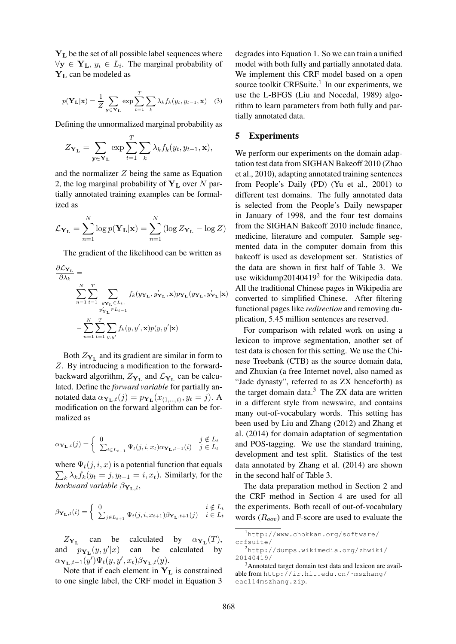Y<sup>L</sup> be the set of all possible label sequences where  $\forall y \in Y_L$ ,  $y_i \in L_i$ . The marginal probability of  $Y_L$  can be modeled as

$$
p(\mathbf{Y}_{\mathbf{L}}|\mathbf{x}) = \frac{1}{Z} \sum_{\mathbf{y} \in \mathbf{Y}_{\mathbf{L}}} \exp \sum_{t=1}^{T} \sum_{k} \lambda_k f_k(y_t, y_{t-1}, \mathbf{x}) \quad (3)
$$

Defining the unnormalized marginal probability as

$$
Z_{\mathbf{Y}_{\mathbf{L}}} = \sum_{\mathbf{y} \in \mathbf{Y}_{\mathbf{L}}} \exp \sum_{t=1}^{T} \sum_{k} \lambda_k f_k(y_t, y_{t-1}, \mathbf{x}),
$$

and the normalizer  $Z$  being the same as Equation 2, the log marginal probability of  $Y_L$  over N partially annotated training examples can be formalized as

$$
\mathcal{L}_{\mathbf{Y}_{\mathbf{L}}} = \sum_{n=1}^{N} \log p(\mathbf{Y}_{\mathbf{L}}|\mathbf{x}) = \sum_{n=1}^{N} (\log Z_{\mathbf{Y}_{\mathbf{L}}} - \log Z)
$$

The gradient of the likelihood can be written as

$$
\begin{aligned} \frac{\partial \mathcal{L}_{\mathbf{Y_L}}}{\partial \lambda_k} & = \\ & \sum_{n=1}^N \sum_{t=1}^T \sum_{\substack{y_{\mathbf{Y_L}} \in L_t, \\ y'_{\mathbf{Y_L}} \in L_{t-1}}} f_k(y_{\mathbf{Y_L}}, y'_{\mathbf{Y_L}}, \mathbf{x}) p_{\mathbf{Y_L}}(y_{\mathbf{Y_L}}, y'_{\mathbf{Y_L}} | \mathbf{x}) \\ & - \sum_{n=1}^N \sum_{t=1}^T \sum_{y, y'} f_k(y, y', \mathbf{x}) p(y, y' | \mathbf{x}) \end{aligned}
$$

Both  $Z_{Y_L}$  and its gradient are similar in form to Z. By introducing a modification to the forwardbackward algorithm,  $Z_{\mathbf{Y}_L}$  and  $\mathcal{L}_{\mathbf{Y}_L}$  can be calculated. Define the *forward variable* for partially annotated data  $\alpha_{\mathbf{Y}_{\mathbf{L}},t}(j) = p_{\mathbf{Y}_{\mathbf{L}}}(x_{\langle 1,...,t \rangle}, y_t = j)$ . A modification on the forward algorithm can be formalized as

$$
\alpha_{\mathbf{Y}_{\mathbf{L}},t}(j) = \begin{cases} 0 & j \notin L_t \\ \sum_{i \in L_{t-1}} \Psi_t(j,i,x_t) \alpha_{\mathbf{Y}_{\mathbf{L}},t-1}(i) & j \in L_t \end{cases}
$$

 $\sum_{k} \lambda_k f_k(y_t = j, y_{t-1} = i, x_t)$ . Similarly, for the where  $\Psi_t(j, i, x)$  is a potential function that equals *backward variable*  $\beta_{\mathbf{Y}_{\mathbf{L}},t}$ ,

$$
\beta_{\mathbf{Y}_{\mathbf{L}},t}(i) = \begin{cases} 0 & i \notin L_t \\ \sum_{j \in L_{t+1}} \Psi_t(j,i,x_{t+1}) \beta_{\mathbf{Y}_{\mathbf{L}},t+1}(j) & i \in L_t \end{cases}
$$

 $Z_{\mathbf{Y}_{\mathbf{L}}}$  can be calculated by  $\alpha_{\mathbf{Y}_{\mathbf{L}}}(T)$ , and  $p_{\mathbf{Y}_{\mathbf{L}}}(y, y'|x)$  can be calculated by  $\alpha_{\mathbf{Y}_{\mathbf{L}},t-1}(y')\Psi_t(y,y',x_t)\beta_{\mathbf{Y}_{\mathbf{L}},t}(y).$ 

Note that if each element in  $Y_L$  is constrained to one single label, the CRF model in Equation 3

degrades into Equation 1. So we can train a unified model with both fully and partially annotated data. We implement this CRF model based on a open source toolkit CRFSuite.<sup>1</sup> In our experiments, we use the L-BFGS (Liu and Nocedal, 1989) algorithm to learn parameters from both fully and partially annotated data.

#### 5 Experiments

We perform our experiments on the domain adaptation test data from SIGHAN Bakeoff 2010 (Zhao et al., 2010), adapting annotated training sentences from People's Daily (PD) (Yu et al., 2001) to different test domains. The fully annotated data is selected from the People's Daily newspaper in January of 1998, and the four test domains from the SIGHAN Bakeoff 2010 include finance, medicine, literature and computer. Sample segmented data in the computer domain from this bakeoff is used as development set. Statistics of the data are shown in first half of Table 3. We use wikidump20140419<sup>2</sup> for the Wikipedia data. All the traditional Chinese pages in Wikipedia are converted to simplified Chinese. After filtering functional pages like *redirection* and removing duplication, 5.45 million sentences are reserved.

For comparison with related work on using a lexicon to improve segmentation, another set of test data is chosen for this setting. We use the Chinese Treebank (CTB) as the source domain data, and Zhuxian (a free Internet novel, also named as "Jade dynasty", referred to as ZX henceforth) as the target domain data. $3$  The ZX data are written in a different style from newswire, and contains many out-of-vocabulary words. This setting has been used by Liu and Zhang (2012) and Zhang et al. (2014) for domain adaptation of segmentation and POS-tagging. We use the standard training, development and test split. Statistics of the test data annotated by Zhang et al. (2014) are shown in the second half of Table 3.

The data preparation method in Section 2 and the CRF method in Section 4 are used for all the experiments. Both recall of out-of-vocabulary words  $(R_{oov})$  and F-score are used to evaluate the

<sup>1</sup>http://www.chokkan.org/software/ crfsuite/

<sup>2</sup>http://dumps.wikimedia.org/zhwiki/ 20140419/

<sup>&</sup>lt;sup>3</sup>Annotated target domain test data and lexicon are available from http://ir.hit.edu.cn/˜mszhang/ eacl14mszhang.zip.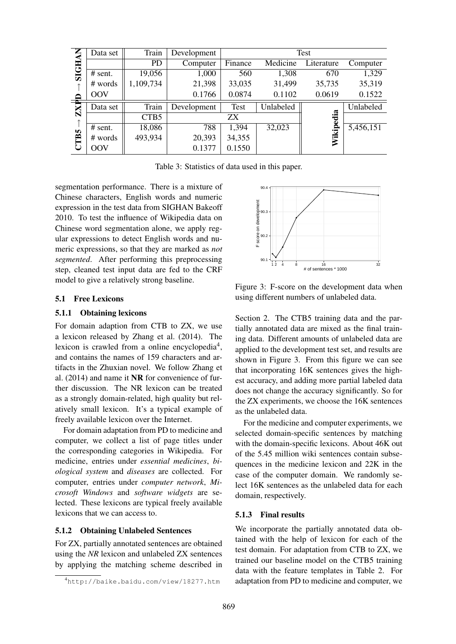| <b>SIGHAN</b> | Data set   | Train            | Development |             |           | <b>Test</b> |           |
|---------------|------------|------------------|-------------|-------------|-----------|-------------|-----------|
|               |            | <b>PD</b>        | Computer    | Finance     | Medicine  | Literature  | Computer  |
|               | # sent.    | 19,056           | 1,000       | 560         | 1,308     | 670         | 1,329     |
| 个             | # words    | 1,109,734        | 21,398      | 33,035      | 31,499    | 35,735      | 35,319    |
| ≏             | <b>OOV</b> |                  | 0.1766      | 0.0874      | 0.1102    | 0.0619      | 0.1522    |
| $\mathbf{Z}$  | Data set   | Train            | Development | <b>Test</b> | Unlabeled |             | Unlabeled |
| 个             |            | CTB <sub>5</sub> |             | ZΧ          |           |             |           |
|               | # sent.    | 18,086           | 788         | 1,394       | 32,023    | Wikipedia   | 5,456,151 |
|               |            |                  |             |             |           |             |           |
|               | # words    | 493,934          | 20,393      | 34,355      |           |             |           |
| CTB5          | <b>OOV</b> |                  | 0.1377      | 0.1550      |           |             |           |

Table 3: Statistics of data used in this paper.

segmentation performance. There is a mixture of Chinese characters, English words and numeric expression in the test data from SIGHAN Bakeoff 2010. To test the influence of Wikipedia data on Chinese word segmentation alone, we apply regular expressions to detect English words and numeric expressions, so that they are marked as *not segmented*. After performing this preprocessing step, cleaned test input data are fed to the CRF model to give a relatively strong baseline.

### 5.1 Free Lexicons

## 5.1.1 Obtaining lexicons

For domain adaption from CTB to ZX, we use a lexicon released by Zhang et al. (2014). The lexicon is crawled from a online encyclopedia<sup>4</sup>, and contains the names of 159 characters and artifacts in the Zhuxian novel. We follow Zhang et al. (2014) and name it NR for convenience of further discussion. The NR lexicon can be treated as a strongly domain-related, high quality but relatively small lexicon. It's a typical example of freely available lexicon over the Internet.

For domain adaptation from PD to medicine and computer, we collect a list of page titles under the corresponding categories in Wikipedia. For medicine, entries under *essential medicines*, *biological system* and *diseases* are collected. For computer, entries under *computer network*, *Microsoft Windows* and *software widgets* are selected. These lexicons are typical freely available lexicons that we can access to.

#### 5.1.2 Obtaining Unlabeled Sentences

For ZX, partially annotated sentences are obtained using the *NR* lexicon and unlabeled ZX sentences by applying the matching scheme described in



Figure 3: F-score on the development data when using different numbers of unlabeled data.

Section 2. The CTB5 training data and the partially annotated data are mixed as the final training data. Different amounts of unlabeled data are applied to the development test set, and results are shown in Figure 3. From this figure we can see that incorporating 16K sentences gives the highest accuracy, and adding more partial labeled data does not change the accuracy significantly. So for the ZX experiments, we choose the 16K sentences as the unlabeled data.

For the medicine and computer experiments, we selected domain-specific sentences by matching with the domain-specific lexicons. About 46K out of the 5.45 million wiki sentences contain subsequences in the medicine lexicon and 22K in the case of the computer domain. We randomly select 16K sentences as the unlabeled data for each domain, respectively.

## 5.1.3 Final results

We incorporate the partially annotated data obtained with the help of lexicon for each of the test domain. For adaptation from CTB to ZX, we trained our baseline model on the CTB5 training data with the feature templates in Table 2. For adaptation from PD to medicine and computer, we

<sup>4</sup>http://baike.baidu.com/view/18277.htm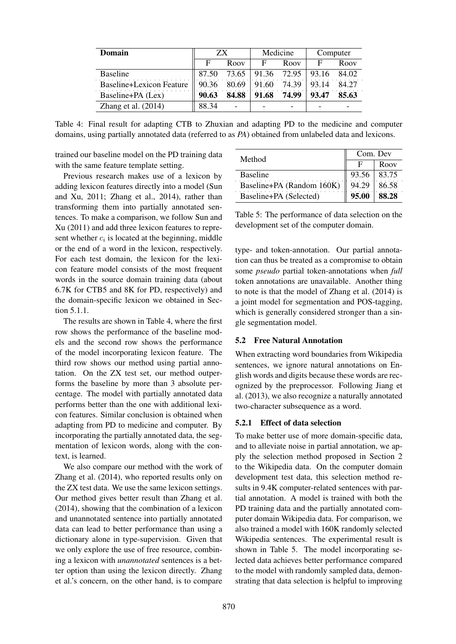| Domain                          | ZΧ    |                   |       | Medicine | Computer |       |  |
|---------------------------------|-------|-------------------|-------|----------|----------|-------|--|
|                                 |       | Roov              | F     | Roov     | F        | Roov  |  |
| <b>Baseline</b>                 | 87.50 | 73.65 91.36 72.95 |       |          | 93.16    | 84.02 |  |
| <b>Baseline+Lexicon Feature</b> | 90.36 | 80.69             | 91.60 | 74.39    | 93.14    | 84.27 |  |
| Baseline+PA (Lex)               | 90.63 | 84.88             | 91.68 | 74.99    | 93.47    | 85.63 |  |
| Zhang et al. $(2014)$           | 88.34 |                   |       |          |          |       |  |

Table 4: Final result for adapting CTB to Zhuxian and adapting PD to the medicine and computer domains, using partially annotated data (referred to as *PA*) obtained from unlabeled data and lexicons.

trained our baseline model on the PD training data with the same feature template setting.

Previous research makes use of a lexicon by adding lexicon features directly into a model (Sun and Xu, 2011; Zhang et al., 2014), rather than transforming them into partially annotated sentences. To make a comparison, we follow Sun and Xu (2011) and add three lexicon features to represent whether  $c_i$  is located at the beginning, middle or the end of a word in the lexicon, respectively. For each test domain, the lexicon for the lexicon feature model consists of the most frequent words in the source domain training data (about 6.7K for CTB5 and 8K for PD, respectively) and the domain-specific lexicon we obtained in Section 5.1.1.

The results are shown in Table 4, where the first row shows the performance of the baseline models and the second row shows the performance of the model incorporating lexicon feature. The third row shows our method using partial annotation. On the ZX test set, our method outperforms the baseline by more than 3 absolute percentage. The model with partially annotated data performs better than the one with additional lexicon features. Similar conclusion is obtained when adapting from PD to medicine and computer. By incorporating the partially annotated data, the segmentation of lexicon words, along with the context, is learned.

We also compare our method with the work of Zhang et al. (2014), who reported results only on the ZX test data. We use the same lexicon settings. Our method gives better result than Zhang et al. (2014), showing that the combination of a lexicon and unannotated sentence into partially annotated data can lead to better performance than using a dictionary alone in type-supervision. Given that we only explore the use of free resource, combining a lexicon with *unannotated* sentences is a better option than using the lexicon directly. Zhang et al.'s concern, on the other hand, is to compare

| Method                    | Com. Dev |       |  |  |
|---------------------------|----------|-------|--|--|
|                           |          | Roov  |  |  |
| <b>Baseline</b>           | 93.56    | 83.75 |  |  |
| Baseline+PA (Random 160K) | 94.29    | 86.58 |  |  |
| Baseline+PA (Selected)    | 95.00    | 88.28 |  |  |

Table 5: The performance of data selection on the development set of the computer domain.

type- and token-annotation. Our partial annotation can thus be treated as a compromise to obtain some *pseudo* partial token-annotations when *full* token annotations are unavailable. Another thing to note is that the model of Zhang et al. (2014) is a joint model for segmentation and POS-tagging, which is generally considered stronger than a single segmentation model.

#### 5.2 Free Natural Annotation

When extracting word boundaries from Wikipedia sentences, we ignore natural annotations on English words and digits because these words are recognized by the preprocessor. Following Jiang et al. (2013), we also recognize a naturally annotated two-character subsequence as a word.

## 5.2.1 Effect of data selection

To make better use of more domain-specific data, and to alleviate noise in partial annotation, we apply the selection method proposed in Section 2 to the Wikipedia data. On the computer domain development test data, this selection method results in 9.4K computer-related sentences with partial annotation. A model is trained with both the PD training data and the partially annotated computer domain Wikipedia data. For comparison, we also trained a model with 160K randomly selected Wikipedia sentences. The experimental result is shown in Table 5. The model incorporating selected data achieves better performance compared to the model with randomly sampled data, demonstrating that data selection is helpful to improving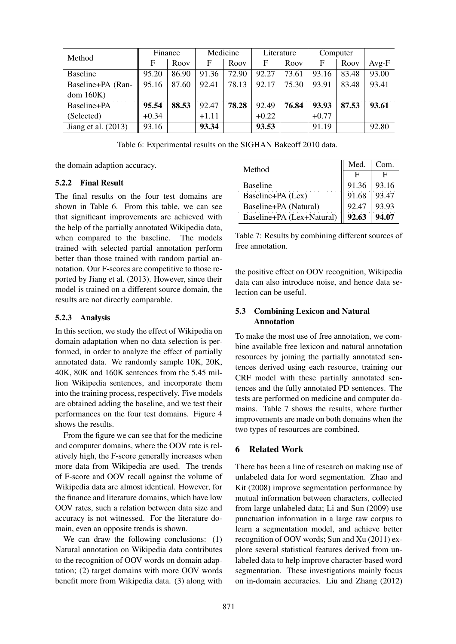| Method                | Finance |       | Medicine |       | Literature |       | Computer |       |         |
|-----------------------|---------|-------|----------|-------|------------|-------|----------|-------|---------|
|                       | F       | Roov  | F        | Roov  | F          | Roov  | F        | Roov  | $Avg-F$ |
| <b>Baseline</b>       | 95.20   | 86.90 | 91.36    | 72.90 | 92.27      | 73.61 | 93.16    | 83.48 | 93.00   |
| Baseline+PA (Ran-     | 95.16   | 87.60 | 92.41    | 78.13 | 92.17      | 75.30 | 93.91    | 83.48 | 93.41   |
| dom 160K              |         |       |          |       |            |       |          |       |         |
| Baseline+PA           | 95.54   | 88.53 | 92.47    | 78.28 | 92.49      | 76.84 | 93.93    | 87.53 | 93.61   |
| (Selected)            | $+0.34$ |       | $+1.11$  |       | $+0.22$    |       | $+0.77$  |       |         |
| Jiang et al. $(2013)$ | 93.16   |       | 93.34    |       | 93.53      |       | 91.19    |       | 92.80   |

Table 6: Experimental results on the SIGHAN Bakeoff 2010 data.

the domain adaption accuracy.

## 5.2.2 Final Result

The final results on the four test domains are shown in Table 6. From this table, we can see that significant improvements are achieved with the help of the partially annotated Wikipedia data, when compared to the baseline. The models trained with selected partial annotation perform better than those trained with random partial annotation. Our F-scores are competitive to those reported by Jiang et al. (2013). However, since their model is trained on a different source domain, the results are not directly comparable.

#### 5.2.3 Analysis

In this section, we study the effect of Wikipedia on domain adaptation when no data selection is performed, in order to analyze the effect of partially annotated data. We randomly sample 10K, 20K, 40K, 80K and 160K sentences from the 5.45 million Wikipedia sentences, and incorporate them into the training process, respectively. Five models are obtained adding the baseline, and we test their performances on the four test domains. Figure 4 shows the results.

From the figure we can see that for the medicine and computer domains, where the OOV rate is relatively high, the F-score generally increases when more data from Wikipedia are used. The trends of F-score and OOV recall against the volume of Wikipedia data are almost identical. However, for the finance and literature domains, which have low OOV rates, such a relation between data size and accuracy is not witnessed. For the literature domain, even an opposite trends is shown.

We can draw the following conclusions: (1) Natural annotation on Wikipedia data contributes to the recognition of OOV words on domain adaptation; (2) target domains with more OOV words benefit more from Wikipedia data. (3) along with

| Method                    | Med.  | Com.  |
|---------------------------|-------|-------|
|                           | н     | F     |
| Baseline                  | 91.36 | 93.16 |
| Baseline+PA (Lex)         | 91.68 | 93.47 |
| Baseline+PA (Natural)     | 92.47 | 93.93 |
| Baseline+PA (Lex+Natural) | 92.63 | 94.07 |

Table 7: Results by combining different sources of free annotation.

the positive effect on OOV recognition, Wikipedia data can also introduce noise, and hence data selection can be useful.

## 5.3 Combining Lexicon and Natural Annotation

To make the most use of free annotation, we combine available free lexicon and natural annotation resources by joining the partially annotated sentences derived using each resource, training our CRF model with these partially annotated sentences and the fully annotated PD sentences. The tests are performed on medicine and computer domains. Table 7 shows the results, where further improvements are made on both domains when the two types of resources are combined.

## 6 Related Work

There has been a line of research on making use of unlabeled data for word segmentation. Zhao and Kit (2008) improve segmentation performance by mutual information between characters, collected from large unlabeled data; Li and Sun (2009) use punctuation information in a large raw corpus to learn a segmentation model, and achieve better recognition of OOV words; Sun and Xu (2011) explore several statistical features derived from unlabeled data to help improve character-based word segmentation. These investigations mainly focus on in-domain accuracies. Liu and Zhang (2012)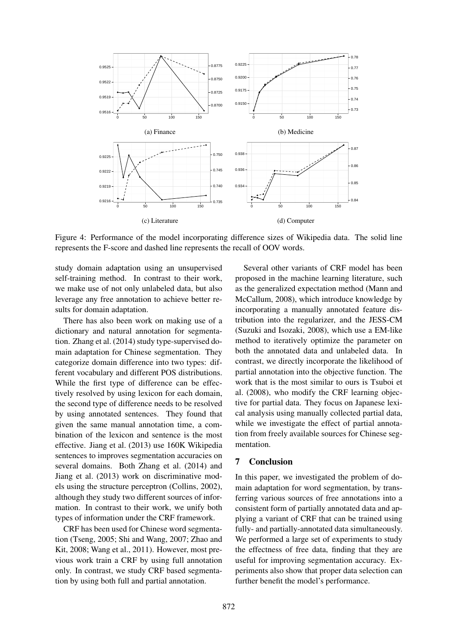

Figure 4: Performance of the model incorporating difference sizes of Wikipedia data. The solid line represents the F-score and dashed line represents the recall of OOV words.

study domain adaptation using an unsupervised self-training method. In contrast to their work, we make use of not only unlabeled data, but also leverage any free annotation to achieve better results for domain adaptation.

There has also been work on making use of a dictionary and natural annotation for segmentation. Zhang et al. (2014) study type-supervised domain adaptation for Chinese segmentation. They categorize domain difference into two types: different vocabulary and different POS distributions. While the first type of difference can be effectively resolved by using lexicon for each domain, the second type of difference needs to be resolved by using annotated sentences. They found that given the same manual annotation time, a combination of the lexicon and sentence is the most effective. Jiang et al. (2013) use 160K Wikipedia sentences to improves segmentation accuracies on several domains. Both Zhang et al. (2014) and Jiang et al. (2013) work on discriminative models using the structure perceptron (Collins, 2002), although they study two different sources of information. In contrast to their work, we unify both types of information under the CRF framework.

CRF has been used for Chinese word segmentation (Tseng, 2005; Shi and Wang, 2007; Zhao and Kit, 2008; Wang et al., 2011). However, most previous work train a CRF by using full annotation only. In contrast, we study CRF based segmentation by using both full and partial annotation.

Several other variants of CRF model has been proposed in the machine learning literature, such as the generalized expectation method (Mann and McCallum, 2008), which introduce knowledge by incorporating a manually annotated feature distribution into the regularizer, and the JESS-CM (Suzuki and Isozaki, 2008), which use a EM-like method to iteratively optimize the parameter on both the annotated data and unlabeled data. In contrast, we directly incorporate the likelihood of partial annotation into the objective function. The work that is the most similar to ours is Tsuboi et al. (2008), who modify the CRF learning objective for partial data. They focus on Japanese lexical analysis using manually collected partial data, while we investigate the effect of partial annotation from freely available sources for Chinese segmentation.

#### 7 Conclusion

In this paper, we investigated the problem of domain adaptation for word segmentation, by transferring various sources of free annotations into a consistent form of partially annotated data and applying a variant of CRF that can be trained using fully- and partially-annotated data simultaneously. We performed a large set of experiments to study the effectness of free data, finding that they are useful for improving segmentation accuracy. Experiments also show that proper data selection can further benefit the model's performance.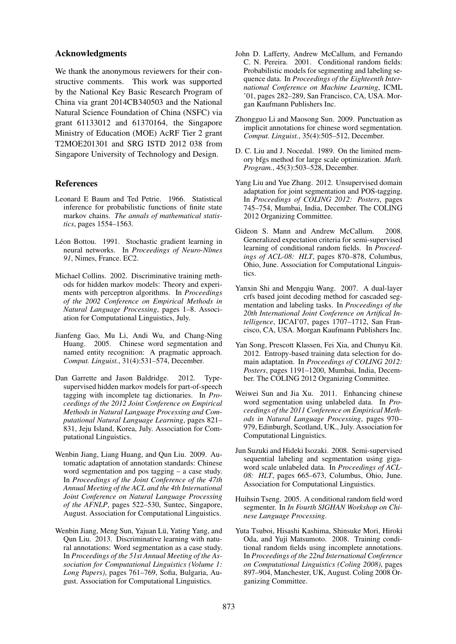#### Acknowledgments

We thank the anonymous reviewers for their constructive comments. This work was supported by the National Key Basic Research Program of China via grant 2014CB340503 and the National Natural Science Foundation of China (NSFC) via grant 61133012 and 61370164, the Singapore Ministry of Education (MOE) AcRF Tier 2 grant T2MOE201301 and SRG ISTD 2012 038 from Singapore University of Technology and Design.

#### **References**

- Leonard E Baum and Ted Petrie. 1966. Statistical inference for probabilistic functions of finite state markov chains. *The annals of mathematical statistics*, pages 1554–1563.
- Léon Bottou. 1991. Stochastic gradient learning in neural networks. In *Proceedings of Neuro-Nˆımes 91*, Nimes, France. EC2.
- Michael Collins. 2002. Discriminative training methods for hidden markov models: Theory and experiments with perceptron algorithms. In *Proceedings of the 2002 Conference on Empirical Methods in Natural Language Processing*, pages 1–8. Association for Computational Linguistics, July.
- Jianfeng Gao, Mu Li, Andi Wu, and Chang-Ning Huang. 2005. Chinese word segmentation and named entity recognition: A pragmatic approach. *Comput. Linguist.*, 31(4):531–574, December.
- Dan Garrette and Jason Baldridge. 2012. Typesupervised hidden markov models for part-of-speech tagging with incomplete tag dictionaries. In *Proceedings of the 2012 Joint Conference on Empirical Methods in Natural Language Processing and Computational Natural Language Learning*, pages 821– 831, Jeju Island, Korea, July. Association for Computational Linguistics.
- Wenbin Jiang, Liang Huang, and Qun Liu. 2009. Automatic adaptation of annotation standards: Chinese word segmentation and pos tagging – a case study. In *Proceedings of the Joint Conference of the 47th Annual Meeting of the ACL and the 4th International Joint Conference on Natural Language Processing of the AFNLP*, pages 522–530, Suntec, Singapore, August. Association for Computational Linguistics.
- Wenbin Jiang, Meng Sun, Yajuan Lü, Yating Yang, and Qun Liu. 2013. Discriminative learning with natural annotations: Word segmentation as a case study. In *Proceedings of the 51st Annual Meeting of the Association for Computational Linguistics (Volume 1: Long Papers)*, pages 761–769, Sofia, Bulgaria, August. Association for Computational Linguistics.
- John D. Lafferty, Andrew McCallum, and Fernando C. N. Pereira. 2001. Conditional random fields: Probabilistic models for segmenting and labeling sequence data. In *Proceedings of the Eighteenth International Conference on Machine Learning*, ICML '01, pages 282–289, San Francisco, CA, USA. Morgan Kaufmann Publishers Inc.
- Zhongguo Li and Maosong Sun. 2009. Punctuation as implicit annotations for chinese word segmentation. *Comput. Linguist.*, 35(4):505–512, December.
- D. C. Liu and J. Nocedal. 1989. On the limited memory bfgs method for large scale optimization. *Math. Program.*, 45(3):503–528, December.
- Yang Liu and Yue Zhang. 2012. Unsupervised domain adaptation for joint segmentation and POS-tagging. In *Proceedings of COLING 2012: Posters*, pages 745–754, Mumbai, India, December. The COLING 2012 Organizing Committee.
- Gideon S. Mann and Andrew McCallum. 2008. Generalized expectation criteria for semi-supervised learning of conditional random fields. In *Proceedings of ACL-08: HLT*, pages 870–878, Columbus, Ohio, June. Association for Computational Linguistics.
- Yanxin Shi and Mengqiu Wang. 2007. A dual-layer crfs based joint decoding method for cascaded segmentation and labeling tasks. In *Proceedings of the 20th International Joint Conference on Artifical Intelligence*, IJCAI'07, pages 1707–1712, San Francisco, CA, USA. Morgan Kaufmann Publishers Inc.
- Yan Song, Prescott Klassen, Fei Xia, and Chunyu Kit. 2012. Entropy-based training data selection for domain adaptation. In *Proceedings of COLING 2012: Posters*, pages 1191–1200, Mumbai, India, December. The COLING 2012 Organizing Committee.
- Weiwei Sun and Jia Xu. 2011. Enhancing chinese word segmentation using unlabeled data. In *Proceedings of the 2011 Conference on Empirical Methods in Natural Language Processing*, pages 970– 979, Edinburgh, Scotland, UK., July. Association for Computational Linguistics.
- Jun Suzuki and Hideki Isozaki. 2008. Semi-supervised sequential labeling and segmentation using gigaword scale unlabeled data. In *Proceedings of ACL-08: HLT*, pages 665–673, Columbus, Ohio, June. Association for Computational Linguistics.
- Huihsin Tseng. 2005. A conditional random field word segmenter. In *In Fourth SIGHAN Workshop on Chinese Language Processing*.
- Yuta Tsuboi, Hisashi Kashima, Shinsuke Mori, Hiroki Oda, and Yuji Matsumoto. 2008. Training conditional random fields using incomplete annotations. In *Proceedings of the 22nd International Conference on Computational Linguistics (Coling 2008)*, pages 897–904, Manchester, UK, August. Coling 2008 Organizing Committee.